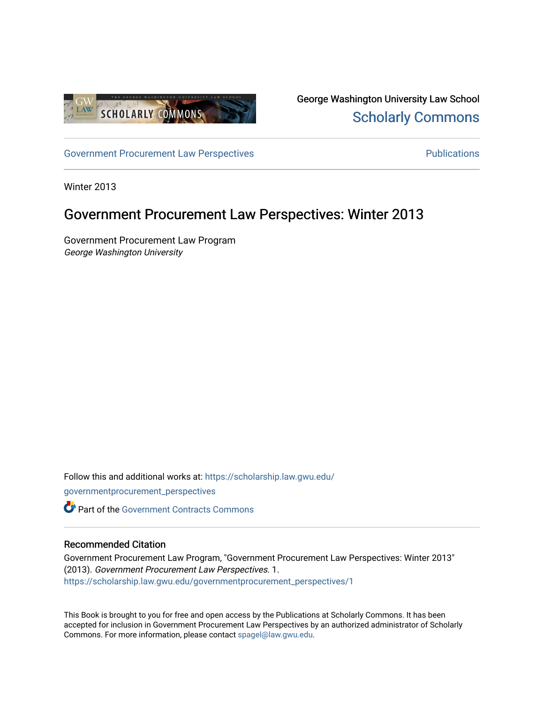

George Washington University Law School [Scholarly Commons](https://scholarship.law.gwu.edu/) 

[Government Procurement Law Perspectives](https://scholarship.law.gwu.edu/governmentprocurement_perspectives) **Example 2018** Publications

Winter 2013

# Government Procurement Law Perspectives: Winter 2013

Government Procurement Law Program George Washington University

Follow this and additional works at: [https://scholarship.law.gwu.edu/](https://scholarship.law.gwu.edu/governmentprocurement_perspectives?utm_source=scholarship.law.gwu.edu%2Fgovernmentprocurement_perspectives%2F1&utm_medium=PDF&utm_campaign=PDFCoverPages)

[governmentprocurement\\_perspectives](https://scholarship.law.gwu.edu/governmentprocurement_perspectives?utm_source=scholarship.law.gwu.edu%2Fgovernmentprocurement_perspectives%2F1&utm_medium=PDF&utm_campaign=PDFCoverPages) 

Part of the [Government Contracts Commons](http://network.bepress.com/hgg/discipline/845?utm_source=scholarship.law.gwu.edu%2Fgovernmentprocurement_perspectives%2F1&utm_medium=PDF&utm_campaign=PDFCoverPages) 

### Recommended Citation

Government Procurement Law Program, "Government Procurement Law Perspectives: Winter 2013" (2013). Government Procurement Law Perspectives. 1. [https://scholarship.law.gwu.edu/governmentprocurement\\_perspectives/1](https://scholarship.law.gwu.edu/governmentprocurement_perspectives/1?utm_source=scholarship.law.gwu.edu%2Fgovernmentprocurement_perspectives%2F1&utm_medium=PDF&utm_campaign=PDFCoverPages)

This Book is brought to you for free and open access by the Publications at Scholarly Commons. It has been accepted for inclusion in Government Procurement Law Perspectives by an authorized administrator of Scholarly Commons. For more information, please contact [spagel@law.gwu.edu](mailto:spagel@law.gwu.edu).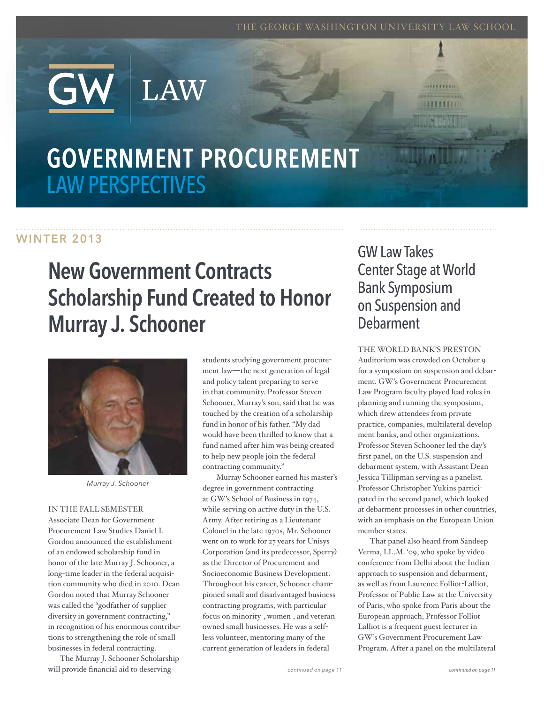THE GEORGE WASHINGTON UNIVERSITY LAW SCHOOL

# GOVERNMENT PROCUREMENT Law Perspectives

LAW

# WINTER 2013

# New Government Contracts Scholarship Fund Created to Honor Murray J. Schooner



*Murray J. Schooner*

#### In the fall semester

Associate Dean for Government Procurement Law Studies Daniel I. Gordon announced the establishment of an endowed scholarship fund in honor of the late Murray J. Schooner, a long-time leader in the federal acquisition community who died in 2010. Dean Gordon noted that Murray Schooner was called the "godfather of supplier diversity in government contracting," in recognition of his enormous contributions to strengthening the role of small businesses in federal contracting.

The Murray J. Schooner Scholarship will provide financial aid to deserving

students studying government procurement law—the next generation of legal and policy talent preparing to serve in that community. Professor Steven Schooner, Murray's son, said that he was touched by the creation of a scholarship fund in honor of his father. "My dad would have been thrilled to know that a fund named after him was being created to help new people join the federal contracting community."

Murray Schooner earned his master's degree in government contracting at GW's School of Business in 1974, while serving on active duty in the U.S. Army. After retiring as a Lieutenant Colonel in the late 1970s, Mr. Schooner went on to work for 27 years for Unisys Corporation (and its predecessor, Sperry) as the Director of Procurement and Socioeconomic Business Development. Throughout his career, Schooner championed small and disadvantaged business contracting programs, with particular focus on minority-, women-, and veteranowned small businesses. He was a selfless volunteer, mentoring many of the current generation of leaders in federal

# GW Law Takes Center Stage at World Bank Symposium on Suspension and Debarment

33331111

#### The World Bank's Preston

Auditorium was crowded on October 9 for a symposium on suspension and debarment. GW's Government Procurement Law Program faculty played lead roles in planning and running the symposium, which drew attendees from private practice, companies, multilateral development banks, and other organizations. Professor Steven Schooner led the day's first panel, on the U.S. suspension and debarment system, with Assistant Dean Jessica Tillipman serving as a panelist. Professor Christopher Yukins participated in the second panel, which looked at debarment processes in other countries, with an emphasis on the European Union member states.

That panel also heard from Sandeep Verma, LL.M. '09, who spoke by video conference from Delhi about the Indian approach to suspension and debarment, as well as from Laurence Folliot-Lalliot, Professor of Public Law at the University of Paris, who spoke from Paris about the European approach; Professor Folliot-Lalliot is a frequent guest lecturer in GW's Government Procurement Law Program. After a panel on the multilateral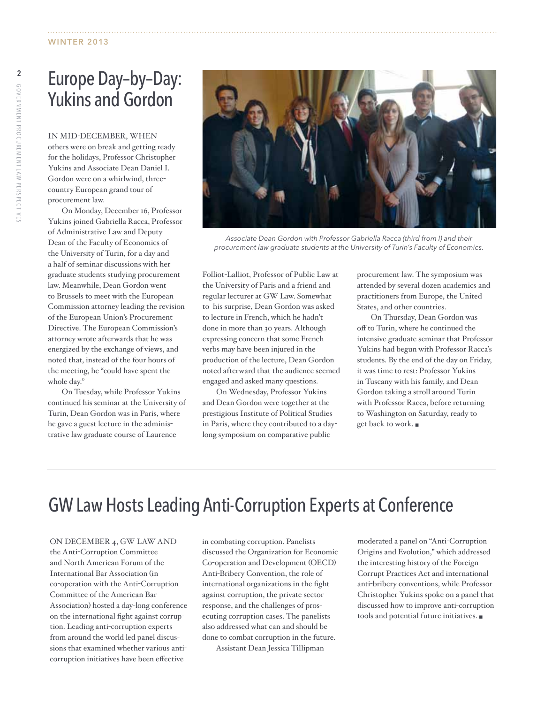# Europe Day–by–Day: Yukins and Gordon

In mid-December, when others were on break and getting ready for the holidays, Professor Christopher Yukins and Associate Dean Daniel I. Gordon were on a whirlwind, threecountry European grand tour of procurement law.

On Monday, December 16, Professor Yukins joined Gabriella Racca, Professor of Administrative Law and Deputy Dean of the Faculty of Economics of the University of Turin, for a day and a half of seminar discussions with her graduate students studying procurement law. Meanwhile, Dean Gordon went to Brussels to meet with the European Commission attorney leading the revision of the European Union's Procurement Directive. The European Commission's attorney wrote afterwards that he was energized by the exchange of views, and noted that, instead of the four hours of the meeting, he "could have spent the whole day."

On Tuesday, while Professor Yukins continued his seminar at the University of Turin, Dean Gordon was in Paris, where he gave a guest lecture in the administrative law graduate course of Laurence



*Associate Dean Gordon with Professor Gabriella Racca (third from I) and their procurement law graduate students at the University of Turin's Faculty of Economics.*

Folliot-Lalliot, Professor of Public Law at the University of Paris and a friend and regular lecturer at GW Law. Somewhat to his surprise, Dean Gordon was asked to lecture in French, which he hadn't done in more than 30 years. Although expressing concern that some French verbs may have been injured in the production of the lecture, Dean Gordon noted afterward that the audience seemed engaged and asked many questions.

On Wednesday, Professor Yukins and Dean Gordon were together at the prestigious Institute of Political Studies in Paris, where they contributed to a daylong symposium on comparative public

procurement law. The symposium was attended by several dozen academics and practitioners from Europe, the United States, and other countries.

On Thursday, Dean Gordon was off to Turin, where he continued the intensive graduate seminar that Professor Yukins had begun with Professor Racca's students. By the end of the day on Friday, it was time to rest: Professor Yukins in Tuscany with his family, and Dean Gordon taking a stroll around Turin with Professor Racca, before returning to Washington on Saturday, ready to get back to work. ■

# GW Law Hosts Leading Anti-Corruption Experts at Conference

On December 4, GW Law and the Anti-Corruption Committee and North American Forum of the International Bar Association (in co-operation with the Anti-Corruption Committee of the American Bar Association) hosted a day-long conference on the international fight against corruption. Leading anti-corruption experts from around the world led panel discussions that examined whether various anticorruption initiatives have been effective

in combating corruption. Panelists discussed the Organization for Economic Co-operation and Development (OECD) Anti-Bribery Convention, the role of international organizations in the fight against corruption, the private sector response, and the challenges of prosecuting corruption cases. The panelists also addressed what can and should be done to combat corruption in the future.

Assistant Dean Jessica Tillipman

moderated a panel on "Anti-Corruption Origins and Evolution," which addressed the interesting history of the Foreign Corrupt Practices Act and international anti-bribery conventions, while Professor Christopher Yukins spoke on a panel that discussed how to improve anti-corruption tools and potential future initiatives.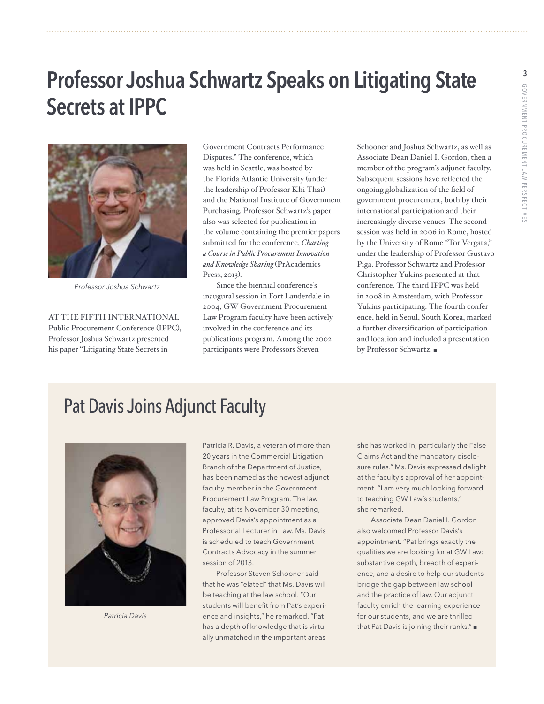# Professor Joshua Schwartz Speaks on Litigating State Secrets at IPPC



*Professor Joshua Schwartz*

At the fifth International Public Procurement Conference (IPPC), Professor Joshua Schwartz presented his paper "Litigating State Secrets in

Government Contracts Performance Disputes." The conference, which was held in Seattle, was hosted by the Florida Atlantic University (under the leadership of Professor Khi Thai) and the National Institute of Government Purchasing. Professor Schwartz's paper also was selected for publication in the volume containing the premier papers submitted for the conference, *Charting a Course in Public Procurement Innovation and Knowledge Sharing* (PrAcademics Press, 2013).

Since the biennial conference's inaugural session in Fort Lauderdale in 2004, GW Government Procurement Law Program faculty have been actively involved in the conference and its publications program. Among the 2002 participants were Professors Steven

Schooner and Joshua Schwartz, as well as Associate Dean Daniel I. Gordon, then a member of the program's adjunct faculty. Subsequent sessions have reflected the ongoing globalization of the field of government procurement, both by their international participation and their increasingly diverse venues. The second session was held in 2006 in Rome, hosted by the University of Rome "Tor Vergata," under the leadership of Professor Gustavo Piga. Professor Schwartz and Professor Christopher Yukins presented at that conference. The third IPPC was held in 2008 in Amsterdam, with Professor Yukins participating. The fourth conference, held in Seoul, South Korea, marked a further diversification of participation and location and included a presentation by Professor Schwartz.

# Pat Davis Joins Adjunct Faculty



*Patricia Davis*

Patricia R. Davis, a veteran of more than 20 years in the Commercial Litigation Branch of the Department of Justice, has been named as the newest adjunct faculty member in the Government Procurement Law Program. The law faculty, at its November 30 meeting, approved Davis's appointment as a Professorial Lecturer in Law. Ms. Davis is scheduled to teach Government Contracts Advocacy in the summer session of 2013.

 Professor Steven Schooner said that he was "elated" that Ms. Davis will be teaching at the law school. "Our students will benefit from Pat's experience and insights," he remarked. "Pat has a depth of knowledge that is virtually unmatched in the important areas

she has worked in, particularly the False Claims Act and the mandatory disclosure rules." Ms. Davis expressed delight at the faculty's approval of her appointment. "I am very much looking forward to teaching GW Law's students," she remarked.

 Associate Dean Daniel I. Gordon also welcomed Professor Davis's appointment. "Pat brings exactly the qualities we are looking for at GW Law: substantive depth, breadth of experience, and a desire to help our students bridge the gap between law school and the practice of law. Our adjunct faculty enrich the learning experience for our students, and we are thrilled that Pat Davis is joining their ranks." $\blacksquare$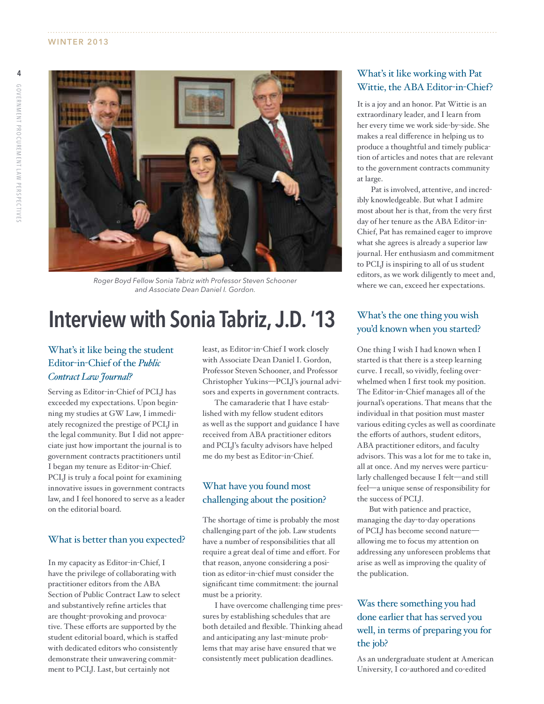

*Roger Boyd Fellow Sonia Tabriz with Professor Steven Schooner and Associate Dean Daniel I. Gordon.*

# Interview with Sonia Tabriz, J.D. '13

### What's it like being the student Editor-in-Chief of the *Public Contract Law Journal?*

Serving as Editor-in-Chief of PCLJ has exceeded my expectations. Upon beginning my studies at GW Law, I immediately recognized the prestige of PCLJ in the legal community. But I did not appreciate just how important the journal is to government contracts practitioners until I began my tenure as Editor-in-Chief. PCLJ is truly a focal point for examining innovative issues in government contracts law, and I feel honored to serve as a leader on the editorial board.

#### What is better than you expected?

In my capacity as Editor-in-Chief, I have the privilege of collaborating with practitioner editors from the ABA Section of Public Contract Law to select and substantively refine articles that are thought-provoking and provocative. These efforts are supported by the student editorial board, which is staffed with dedicated editors who consistently demonstrate their unwavering commitment to PCLJ. Last, but certainly not

least, as Editor-in-Chief I work closely with Associate Dean Daniel I. Gordon, Professor Steven Schooner, and Professor Christopher Yukins—PCLJ's journal advisors and experts in government contracts.

The camaraderie that I have established with my fellow student editors as well as the support and guidance I have received from ABA practitioner editors and PCLJ's faculty advisors have helped me do my best as Editor-in-Chief.

### What have you found most challenging about the position?

The shortage of time is probably the most challenging part of the job. Law students have a number of responsibilities that all require a great deal of time and effort. For that reason, anyone considering a position as editor-in-chief must consider the significant time commitment: the journal must be a priority.

I have overcome challenging time pressures by establishing schedules that are both detailed and flexible. Thinking ahead and anticipating any last-minute problems that may arise have ensured that we consistently meet publication deadlines.

### What's it like working with Pat Wittie, the ABA Editor-in-Chief?

It is a joy and an honor. Pat Wittie is an extraordinary leader, and I learn from her every time we work side-by-side. She makes a real difference in helping us to produce a thoughtful and timely publication of articles and notes that are relevant to the government contracts community at large.

 Pat is involved, attentive, and incredibly knowledgeable. But what I admire most about her is that, from the very first day of her tenure as the ABA Editor-in-Chief, Pat has remained eager to improve what she agrees is already a superior law journal. Her enthusiasm and commitment to PCLJ is inspiring to all of us student editors, as we work diligently to meet and, where we can, exceed her expectations.

### What's the one thing you wish you'd known when you started?

One thing I wish I had known when I started is that there is a steep learning curve. I recall, so vividly, feeling overwhelmed when I first took my position. The Editor-in-Chief manages all of the journal's operations. That means that the individual in that position must master various editing cycles as well as coordinate the efforts of authors, student editors, ABA practitioner editors, and faculty advisors. This was a lot for me to take in, all at once. And my nerves were particularly challenged because I felt—and still feel—a unique sense of responsibility for the success of PCLJ.

But with patience and practice, managing the day-to-day operations of PCLJ has become second nature allowing me to focus my attention on addressing any unforeseen problems that arise as well as improving the quality of the publication.

### Was there something you had done earlier that has served you well, in terms of preparing you for the job?

As an undergraduate student at American University, I co-authored and co-edited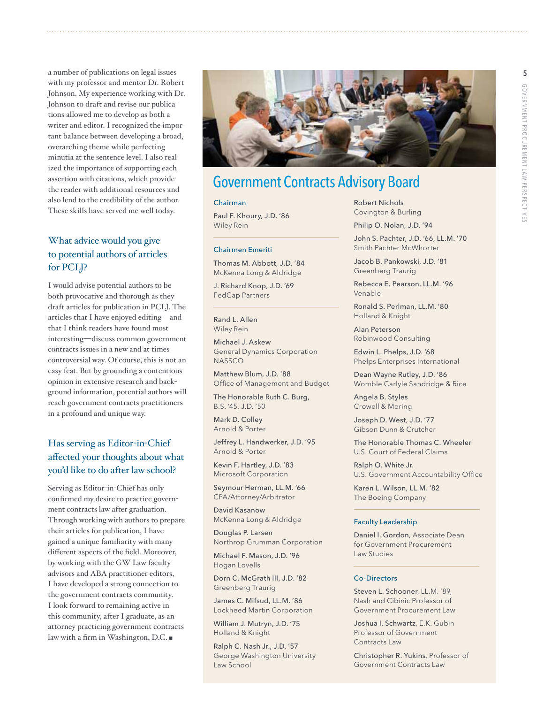a number of publications on legal issues with my professor and mentor Dr. Robert Johnson. My experience working with Dr. Johnson to draft and revise our publications allowed me to develop as both a writer and editor. I recognized the important balance between developing a broad, overarching theme while perfecting minutia at the sentence level. I also realized the importance of supporting each assertion with citations, which provide the reader with additional resources and also lend to the credibility of the author. These skills have served me well today.

### What advice would you give to potential authors of articles for PCLJ?

I would advise potential authors to be both provocative and thorough as they draft articles for publication in PCLJ. The articles that I have enjoyed editing—and that I think readers have found most interesting—discuss common government contracts issues in a new and at times controversial way. Of course, this is not an easy feat. But by grounding a contentious opinion in extensive research and background information, potential authors will reach government contracts practitioners in a profound and unique way.

### Has serving as Editor-in-Chief affected your thoughts about what you'd like to do after law school?

Serving as Editor-in-Chief has only confirmed my desire to practice government contracts law after graduation. Through working with authors to prepare their articles for publication, I have gained a unique familiarity with many different aspects of the field. Moreover, by working with the GW Law faculty advisors and ABA practitioner editors, I have developed a strong connection to the government contracts community. I look forward to remaining active in this community, after I graduate, as an attorney practicing government contracts law with a firm in Washington, D.C.  $\blacksquare$ 



# Government Contracts Advisory Board

#### Chairman

Paul F. Khoury, J.D. '86 Wiley Rein

#### Chairmen Emeriti

Thomas M. Abbott, J.D. '84 McKenna Long & Aldridge

J. Richard Knop, J.D. '69 FedCap Partners

Rand L. Allen Wiley Rein

Michael J. Askew General Dynamics Corporation **NASSCO** 

Matthew Blum, J.D. '88 Office of Management and Budget

The Honorable Ruth C. Burg, B.S. '45, J.D. '50

Mark D. Colley Arnold & Porter

Jeffrey L. Handwerker, J.D. '95 Arnold & Porter

Kevin F. Hartley, J.D. '83 Microsoft Corporation

Seymour Herman, LL.M. '66 CPA/Attorney/Arbitrator

David Kasanow McKenna Long & Aldridge

Douglas P. Larsen Northrop Grumman Corporation

Michael F. Mason, J.D. '96 Hogan Lovells

Dorn C. McGrath III, J.D. '82 Greenberg Traurig

James C. Mifsud, LL.M. '86 Lockheed Martin Corporation

William J. Mutryn, J.D. '75 Holland & Knight

Ralph C. Nash Jr., J.D. '57 George Washington University Law School

Robert Nichols Covington & Burling

Philip O. Nolan, J.D. '94

John S. Pachter, J.D. '66, LL.M. '70 Smith Pachter McWhorter

Jacob B. Pankowski, J.D. '81 Greenberg Traurig

Rebecca E. Pearson, LL.M. '96 Venable

Ronald S. Perlman, LL.M. '80 Holland & Knight

Alan Peterson Robinwood Consulting

Edwin L. Phelps, J.D. '68 Phelps Enterprises International

Dean Wayne Rutley, J.D. '86 Womble Carlyle Sandridge & Rice

Angela B. Styles Crowell & Moring

Joseph D. West, J.D. '77 Gibson Dunn & Crutcher

The Honorable Thomas C. Wheeler U.S. Court of Federal Claims

Ralph O. White Jr. U.S. Government Accountability Office

Karen L. Wilson, LL.M. '82 The Boeing Company

#### Faculty Leadership

Daniel I. Gordon, Associate Dean for Government Procurement Law Studies

#### Co-Directors

Steven L. Schooner, LL.M. '89, Nash and Cibinic Professor of Government Procurement Law

Joshua I. Schwartz, E.K. Gubin Professor of Government Contracts Law

Christopher R. Yukins, Professor of Government Contracts Law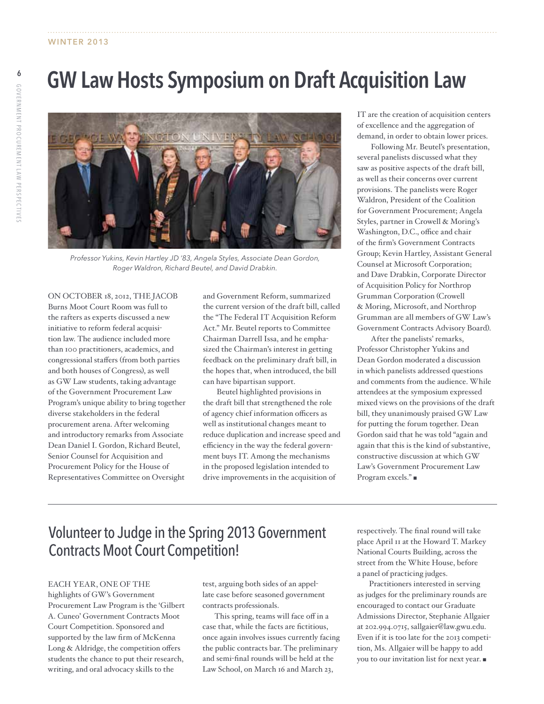# GW Law Hosts Symposium on Draft Acquisition Law



*Professor Yukins, Kevin Hartley JD '83, Angela Styles, Associate Dean Gordon, Roger Waldron, Richard Beutel, and David Drabkin.*

ON OCTOBER 18, 2012, THE JACOB Burns Moot Court Room was full to the rafters as experts discussed a new initiative to reform federal acquisition law. The audience included more than 100 practitioners, academics, and congressional staffers (from both parties and both houses of Congress), as well as GW Law students, taking advantage of the Government Procurement Law Program's unique ability to bring together diverse stakeholders in the federal procurement arena. After welcoming and introductory remarks from Associate Dean Daniel I. Gordon, Richard Beutel, Senior Counsel for Acquisition and Procurement Policy for the House of Representatives Committee on Oversight

and Government Reform, summarized the current version of the draft bill, called the "The Federal IT Acquisition Reform Act." Mr. Beutel reports to Committee Chairman Darrell Issa, and he emphasized the Chairman's interest in getting feedback on the preliminary draft bill, in the hopes that, when introduced, the bill can have bipartisan support.

 Beutel highlighted provisions in the draft bill that strengthened the role of agency chief information officers as well as institutional changes meant to reduce duplication and increase speed and efficiency in the way the federal government buys IT. Among the mechanisms in the proposed legislation intended to drive improvements in the acquisition of

IT are the creation of acquisition centers of excellence and the aggregation of demand, in order to obtain lower prices.

Following Mr. Beutel's presentation, several panelists discussed what they saw as positive aspects of the draft bill, as well as their concerns over current provisions. The panelists were Roger Waldron, President of the Coalition for Government Procurement; Angela Styles, partner in Crowell & Moring's Washington, D.C., office and chair of the firm's Government Contracts Group; Kevin Hartley, Assistant General Counsel at Microsoft Corporation; and Dave Drabkin, Corporate Director of Acquisition Policy for Northrop Grumman Corporation (Crowell & Moring, Microsoft, and Northrop Grumman are all members of GW Law's Government Contracts Advisory Board).

After the panelists' remarks, Professor Christopher Yukins and Dean Gordon moderated a discussion in which panelists addressed questions and comments from the audience. While attendees at the symposium expressed mixed views on the provisions of the draft bill, they unanimously praised GW Law for putting the forum together. Dean Gordon said that he was told "again and again that this is the kind of substantive, constructive discussion at which GW Law's Government Procurement Law Program excels."

# Volunteer to Judge in the Spring 2013 Government Contracts Moot Court Competition!

#### Each year, one of the

highlights of GW's Government Procurement Law Program is the 'Gilbert A. Cuneo' Government Contracts Moot Court Competition. Sponsored and supported by the law firm of McKenna Long & Aldridge, the competition offers students the chance to put their research, writing, and oral advocacy skills to the

test, arguing both sides of an appellate case before seasoned government contracts professionals.

This spring, teams will face off in a case that, while the facts are fictitious, once again involves issues currently facing the public contracts bar. The preliminary and semi-final rounds will be held at the Law School, on March 16 and March 23,

respectively. The final round will take place April 11 at the Howard T. Markey National Courts Building, across the street from the White House, before a panel of practicing judges.

Practitioners interested in serving as judges for the preliminary rounds are encouraged to contact our Graduate Admissions Director, Stephanie Allgaier at 202.994.0715, sallgaier@law.gwu.edu. Even if it is too late for the 2013 competition, Ms. Allgaier will be happy to add you to our invitation list for next year.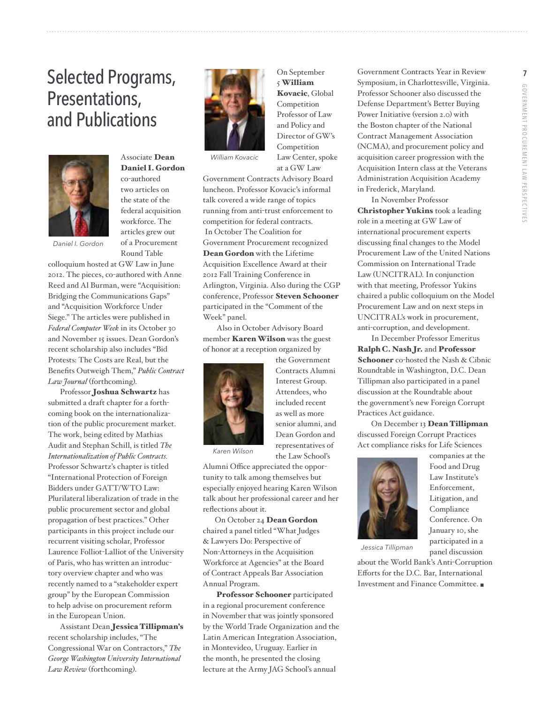# Selected Programs, Presentations, and Publications



# Associate Dean Daniel I. Gordon

co-authored two articles on the state of the federal acquisition workforce. The articles grew out of a Procurement Round Table

*Daniel I. Gordon*

colloquium hosted at GW Law in June 2012. The pieces, co-authored with Anne Reed and Al Burman, were "Acquisition: Bridging the Communications Gaps" and "Acquisition Workforce Under Siege." The articles were published in *Federal Computer Week* in its October 30 and November 15 issues. Dean Gordon's recent scholarship also includes "Bid Protests: The Costs are Real, but the Benefits Outweigh Them," *Public Contract Law Journal* (forthcoming).

Professor Joshua Schwartz has submitted a draft chapter for a forthcoming book on the internationalization of the public procurement market. The work, being edited by Mathias Audit and Stephan Schill, is titled *The Internationalization of Public Contracts.* Professor Schwartz's chapter is titled "International Protection of Foreign Bidders under GATT/WTO Law: Plurilateral liberalization of trade in the public procurement sector and global propagation of best practices." Other participants in this project include our recurrent visiting scholar, Professor Laurence Folliot-Lalliot of the University of Paris, who has written an introductory overview chapter and who was recently named to a "stakeholder expert group" by the European Commission to help advise on procurement reform in the European Union.

Assistant Dean Jessica Tillipman's recent scholarship includes, "The Congressional War on Contractors," *The George Washington University International Law Review* (forthcoming).



*William Kovacic*

Government Contracts Advisory Board luncheon. Professor Kovacic's informal talk covered a wide range of topics running from anti-trust enforcement to competition for federal contracts. In October The Coalition for Government Procurement recognized Dean Gordon with the Lifetime Acquisition Excellence Award at their 2012 Fall Training Conference in Arlington, Virginia. Also during the CGP conference, Professor Steven Schooner participated in the "Comment of the Week" panel.

On September 5 William Kovacic, Global Competition Professor of Law and Policy and Director of GW's Competition Law Center, spoke at a GW Law

Also in October Advisory Board member Karen Wilson was the guest of honor at a reception organized by



the Government Contracts Alumni Interest Group. Attendees, who included recent as well as more senior alumni, and Dean Gordon and representatives of the Law School's

*Karen Wilson*

Alumni Office appreciated the opportunity to talk among themselves but especially enjoyed hearing Karen Wilson talk about her professional career and her reflections about it.

On October 24 Dean Gordon chaired a panel titled "What Judges & Lawyers Do: Perspective of Non-Attorneys in the Acquisition Workforce at Agencies" at the Board of Contract Appeals Bar Association Annual Program.

 Professor Schooner participated in a regional procurement conference in November that was jointly sponsored by the World Trade Organization and the Latin American Integration Association, in Montevideo, Uruguay. Earlier in the month, he presented the closing lecture at the Army JAG School's annual

Government Contracts Year in Review Symposium, in Charlottesville, Virginia. Professor Schooner also discussed the Defense Department's Better Buying Power Initiative (version 2.0) with the Boston chapter of the National Contract Management Association (NCMA), and procurement policy and acquisition career progression with the Acquisition Intern class at the Veterans Administration Acquisition Academy in Frederick, Maryland.

 In November Professor Christopher Yukins took a leading

role in a meeting at GW Law of international procurement experts discussing final changes to the Model Procurement Law of the United Nations Commission on International Trade Law (UNCITRAL). In conjunction with that meeting, Professor Yukins chaired a public colloquium on the Model Procurement Law and on next steps in UNCITRAL's work in procurement, anti-corruption, and development.

 In December Professor Emeritus Ralph C. Nash Jr. and Professor Schooner co-hosted the Nash & Cibnic Roundtable in Washington, D.C. Dean Tillipman also participated in a panel discussion at the Roundtable about the government's new Foreign Corrupt Practices Act guidance.

On December 13 Dean Tillipman discussed Foreign Corrupt Practices Act compliance risks for Life Sciences



companies at the Food and Drug Law Institute's Enforcement, Litigation, and **Compliance** Conference. On January 10, she participated in a panel discussion

*Jessica Tillipman*

about the World Bank's Anti-Corruption Efforts for the D.C. Bar, International Investment and Finance Committee.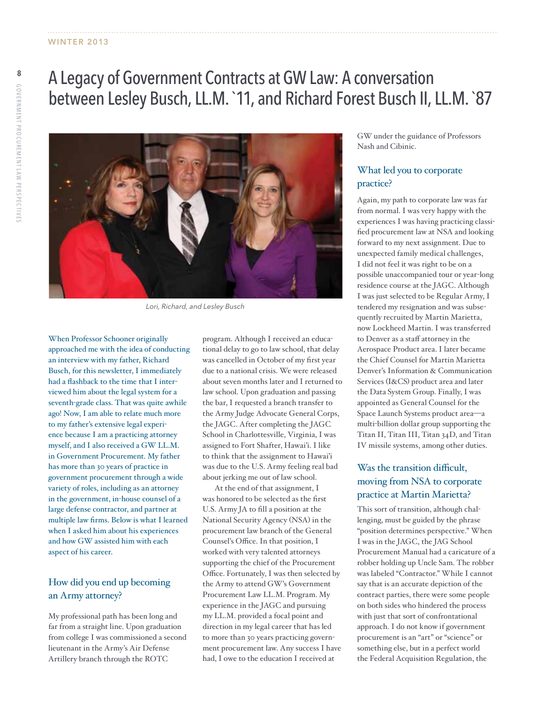# A Legacy of Government Contracts at GW Law: A conversation between Lesley Busch, LL.M. `11, and Richard Forest Busch II, LL.M. `87



*Lori, Richard, and Lesley Busch*

When Professor Schooner originally approached me with the idea of conducting an interview with my father, Richard Busch, for this newsletter, I immediately had a flashback to the time that I interviewed him about the legal system for a seventh-grade class. That was quite awhile ago! Now, I am able to relate much more to my father's extensive legal experience because I am a practicing attorney myself, and I also received a GW LL.M. in Government Procurement. My father has more than 30 years of practice in government procurement through a wide variety of roles, including as an attorney in the government, in-house counsel of a large defense contractor, and partner at multiple law firms. Below is what I learned when I asked him about his experiences and how GW assisted him with each aspect of his career.

### How did you end up becoming an Army attorney?

My professional path has been long and far from a straight line. Upon graduation from college I was commissioned a second lieutenant in the Army's Air Defense Artillery branch through the ROTC

program. Although I received an educational delay to go to law school, that delay was cancelled in October of my first year due to a national crisis. We were released about seven months later and I returned to law school. Upon graduation and passing the bar, I requested a branch transfer to the Army Judge Advocate General Corps, the JAGC. After completing the JAGC School in Charlottesville, Virginia, I was assigned to Fort Shafter, Hawai'i. I like to think that the assignment to Hawai'i was due to the U.S. Army feeling real bad about jerking me out of law school.

At the end of that assignment, I was honored to be selected as the first U.S. Army JA to fill a position at the National Security Agency (NSA) in the procurement law branch of the General Counsel's Office. In that position, I worked with very talented attorneys supporting the chief of the Procurement Office. Fortunately, I was then selected by the Army to attend GW's Government Procurement Law LL.M. Program. My experience in the JAGC and pursuing my LL.M. provided a focal point and direction in my legal career that has led to more than 30 years practicing government procurement law. Any success I have had, I owe to the education I received at

GW under the guidance of Professors Nash and Cibinic.

### What led you to corporate practice?

Again, my path to corporate law was far from normal. I was very happy with the experiences I was having practicing classified procurement law at NSA and looking forward to my next assignment. Due to unexpected family medical challenges, I did not feel it was right to be on a possible unaccompanied tour or year-long residence course at the JAGC. Although I was just selected to be Regular Army, I tendered my resignation and was subsequently recruited by Martin Marietta, now Lockheed Martin. I was transferred to Denver as a staff attorney in the Aerospace Product area. I later became the Chief Counsel for Martin Marietta Denver's Information & Communication Services (I&CS) product area and later the Data System Group. Finally, I was appointed as General Counsel for the Space Launch Systems product area—a multi-billion dollar group supporting the Titan II, Titan III, Titan 34D, and Titan IV missile systems, among other duties.

### Was the transition difficult, moving from NSA to corporate practice at Martin Marietta?

This sort of transition, although challenging, must be guided by the phrase "position determines perspective." When I was in the JAGC, the JAG School Procurement Manual had a caricature of a robber holding up Uncle Sam. The robber was labeled "Contractor." While I cannot say that is an accurate depiction of the contract parties, there were some people on both sides who hindered the process with just that sort of confrontational approach. I do not know if government procurement is an "art" or "science" or something else, but in a perfect world the Federal Acquisition Regulation, the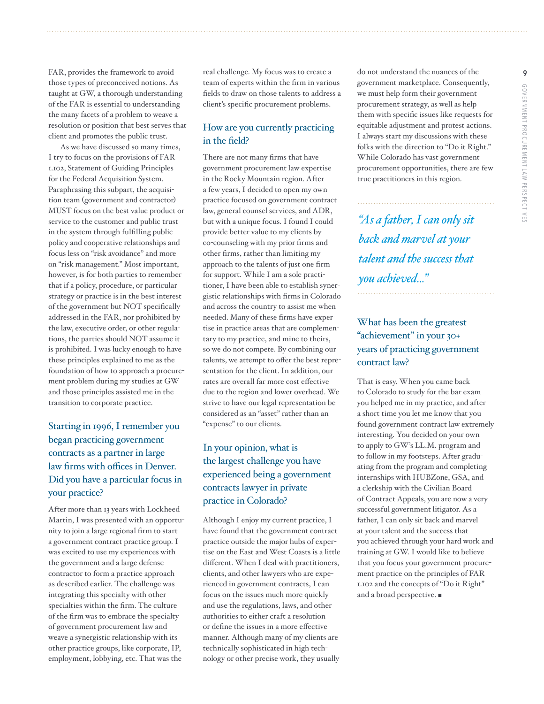FAR, provides the framework to avoid those types of preconceived notions. As taught at GW, a thorough understanding of the FAR is essential to understanding the many facets of a problem to weave a resolution or position that best serves that client and promotes the public trust.

As we have discussed so many times, I try to focus on the provisions of FAR 1.102, Statement of Guiding Principles for the Federal Acquisition System. Paraphrasing this subpart, the acquisition team (government and contractor) MUST focus on the best value product or service to the customer and public trust in the system through fulfilling public policy and cooperative relationships and focus less on "risk avoidance" and more on "risk management." Most important, however, is for both parties to remember that if a policy, procedure, or particular strategy or practice is in the best interest of the government but NOT specifically addressed in the FAR, nor prohibited by the law, executive order, or other regulations, the parties should NOT assume it is prohibited. I was lucky enough to have these principles explained to me as the foundation of how to approach a procurement problem during my studies at GW and those principles assisted me in the transition to corporate practice.

# Starting in 1996, I remember you began practicing government contracts as a partner in large law firms with offices in Denver. Did you have a particular focus in your practice?

After more than 13 years with Lockheed Martin, I was presented with an opportunity to join a large regional firm to start a government contract practice group. I was excited to use my experiences with the government and a large defense contractor to form a practice approach as described earlier. The challenge was integrating this specialty with other specialties within the firm. The culture of the firm was to embrace the specialty of government procurement law and weave a synergistic relationship with its other practice groups, like corporate, IP, employment, lobbying, etc. That was the

real challenge. My focus was to create a team of experts within the firm in various fields to draw on those talents to address a client's specific procurement problems.

### How are you currently practicing in the field?

There are not many firms that have government procurement law expertise in the Rocky Mountain region. After a few years, I decided to open my own practice focused on government contract law, general counsel services, and ADR, but with a unique focus. I found I could provide better value to my clients by co-counseling with my prior firms and other firms, rather than limiting my approach to the talents of just one firm for support. While I am a sole practitioner, I have been able to establish synergistic relationships with firms in Colorado and across the country to assist me when needed. Many of these firms have expertise in practice areas that are complementary to my practice, and mine to theirs, so we do not compete. By combining our talents, we attempt to offer the best representation for the client. In addition, our rates are overall far more cost effective due to the region and lower overhead. We strive to have our legal representation be considered as an "asset" rather than an "expense" to our clients.

## In your opinion, what is the largest challenge you have experienced being a government contracts lawyer in private practice in Colorado?

Although I enjoy my current practice, I have found that the government contract practice outside the major hubs of expertise on the East and West Coasts is a little different. When I deal with practitioners, clients, and other lawyers who are experienced in government contracts, I can focus on the issues much more quickly and use the regulations, laws, and other authorities to either craft a resolution or define the issues in a more effective manner. Although many of my clients are technically sophisticated in high technology or other precise work, they usually

do not understand the nuances of the government marketplace. Consequently, we must help form their government procurement strategy, as well as help them with specific issues like requests for equitable adjustment and protest actions. I always start my discussions with these folks with the direction to "Do it Right." While Colorado has vast government procurement opportunities, there are few true practitioners in this region.

*"As a father, I can only sit back and marvel at your talent and the success that you achieved..."*

### What has been the greatest "achievement" in your 30+ years of practicing government contract law?

That is easy. When you came back to Colorado to study for the bar exam you helped me in my practice, and after a short time you let me know that you found government contract law extremely interesting. You decided on your own to apply to GW's LL.M. program and to follow in my footsteps. After graduating from the program and completing internships with HUBZone, GSA, and a clerkship with the Civilian Board of Contract Appeals, you are now a very successful government litigator. As a father, I can only sit back and marvel at your talent and the success that you achieved through your hard work and training at GW. I would like to believe that you focus your government procurement practice on the principles of FAR 1.102 and the concepts of "Do it Right" and a broad perspective.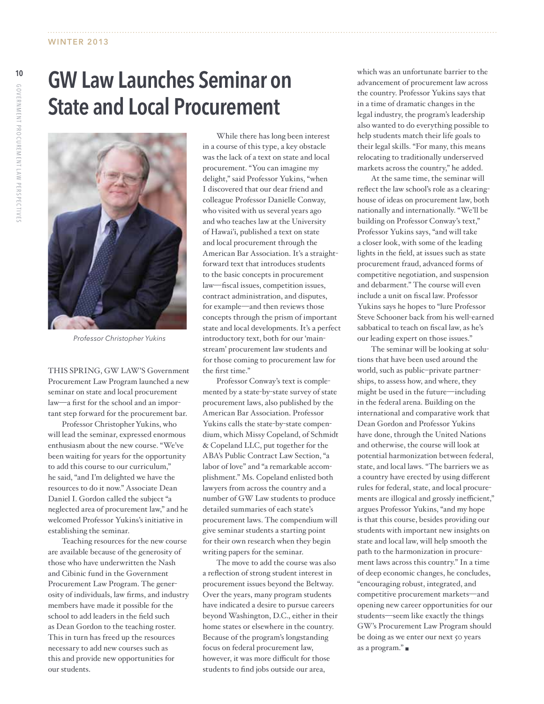# State and Local Procurement



*Professor Christopher Yukins*

This spring, GW Law's Government Procurement Law Program launched a new seminar on state and local procurement law—a first for the school and an important step forward for the procurement bar.

 Professor Christopher Yukins, who will lead the seminar, expressed enormous enthusiasm about the new course. "We've been waiting for years for the opportunity to add this course to our curriculum," he said, "and I'm delighted we have the resources to do it now." Associate Dean Daniel I. Gordon called the subject "a neglected area of procurement law," and he welcomed Professor Yukins's initiative in establishing the seminar.

Teaching resources for the new course are available because of the generosity of those who have underwritten the Nash and Cibinic fund in the Government Procurement Law Program. The generosity of individuals, law firms, and industry members have made it possible for the school to add leaders in the field such as Dean Gordon to the teaching roster. This in turn has freed up the resources necessary to add new courses such as this and provide new opportunities for our students.

 While there has long been interest in a course of this type, a key obstacle was the lack of a text on state and local procurement. "You can imagine my delight," said Professor Yukins, "when I discovered that our dear friend and colleague Professor Danielle Conway, who visited with us several years ago and who teaches law at the University of Hawai'i, published a text on state and local procurement through the American Bar Association. It's a straightforward text that introduces students to the basic concepts in procurement law—fiscal issues, competition issues, contract administration, and disputes, for example—and then reviews those concepts through the prism of important state and local developments. It's a perfect introductory text, both for our 'mainstream' procurement law students and for those coming to procurement law for the first time."

 Professor Conway's text is complemented by a state-by-state survey of state procurement laws, also published by the American Bar Association. Professor Yukins calls the state-by-state compendium, which Missy Copeland, of Schmidt & Copeland LLC, put together for the ABA's Public Contract Law Section, "a labor of love" and "a remarkable accomplishment." Ms. Copeland enlisted both lawyers from across the country and a number of GW Law students to produce detailed summaries of each state's procurement laws. The compendium will give seminar students a starting point for their own research when they begin writing papers for the seminar.

The move to add the course was also a reflection of strong student interest in procurement issues beyond the Beltway. Over the years, many program students have indicated a desire to pursue careers beyond Washington, D.C., either in their home states or elsewhere in the country. Because of the program's longstanding focus on federal procurement law, however, it was more difficult for those students to find jobs outside our area,

which was an unfortunate barrier to the advancement of procurement law across the country. Professor Yukins says that in a time of dramatic changes in the legal industry, the program's leadership also wanted to do everything possible to help students match their life goals to their legal skills. "For many, this means relocating to traditionally underserved markets across the country," he added.

At the same time, the seminar will reflect the law school's role as a clearinghouse of ideas on procurement law, both nationally and internationally. "We'll be building on Professor Conway's text," Professor Yukins says, "and will take a closer look, with some of the leading lights in the field, at issues such as state procurement fraud, advanced forms of competitive negotiation, and suspension and debarment." The course will even include a unit on fiscal law. Professor Yukins says he hopes to "lure Professor Steve Schooner back from his well-earned sabbatical to teach on fiscal law, as he's our leading expert on those issues."

The seminar will be looking at solutions that have been used around the world, such as public–private partnerships, to assess how, and where, they might be used in the future—including in the federal arena. Building on the international and comparative work that Dean Gordon and Professor Yukins have done, through the United Nations and otherwise, the course will look at potential harmonization between federal, state, and local laws. "The barriers we as a country have erected by using different rules for federal, state, and local procurements are illogical and grossly inefficient," argues Professor Yukins, "and my hope is that this course, besides providing our students with important new insights on state and local law, will help smooth the path to the harmonization in procurement laws across this country." In a time of deep economic changes, he concludes, "encouraging robust, integrated, and competitive procurement markets—and opening new career opportunities for our students—seem like exactly the things GW's Procurement Law Program should be doing as we enter our next 50 years as a program." $\blacksquare$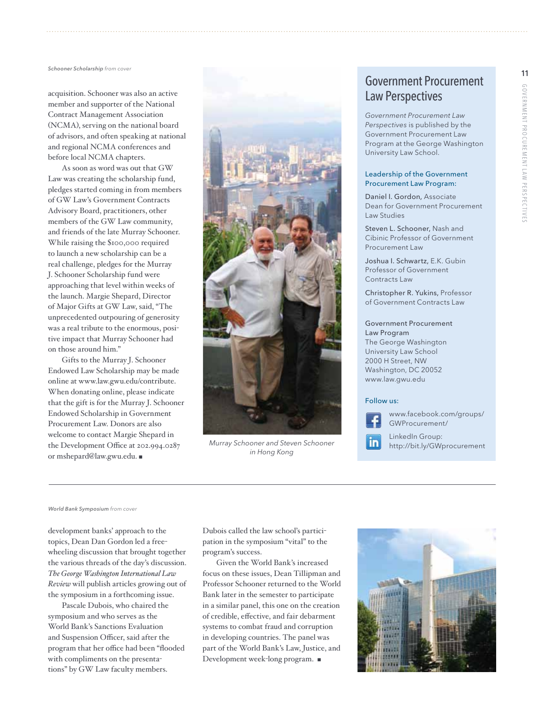acquisition. Schooner was also an active member and supporter of the National Contract Management Association (NCMA), serving on the national board of advisors, and often speaking at national and regional NCMA conferences and before local NCMA chapters.

As soon as word was out that GW Law was creating the scholarship fund, pledges started coming in from members of GW Law's Government Contracts Advisory Board, practitioners, other members of the GW Law community, and friends of the late Murray Schooner. While raising the \$100,000 required to launch a new scholarship can be a real challenge, pledges for the Murray J. Schooner Scholarship fund were approaching that level within weeks of the launch. Margie Shepard, Director of Major Gifts at GW Law, said, "The unprecedented outpouring of generosity was a real tribute to the enormous, positive impact that Murray Schooner had on those around him."

 Gifts to the Murray J. Schooner Endowed Law Scholarship may be made online at www.law.gwu.edu/contribute. When donating online, please indicate that the gift is for the Murray J. Schooner Endowed Scholarship in Government Procurement Law. Donors are also welcome to contact Margie Shepard in the Development Office at 202.994.0287 or mshepard@law.gwu.edu. <sup>n</sup>



LinkedIn Group: *Murray Schooner and Steven Schooner* http://bit.ly/GWprocurement *in Hong Kong*

# Government Procurement Law Perspectives

*Government Procurement Law Perspectives* is published by the Government Procurement Law Program at the George Washington University Law School.

#### Leadership of the Government Procurement Law Program:

Daniel I. Gordon, Associate Dean for Government Procurement Law Studies

Steven L. Schooner, Nash and Cibinic Professor of Government Procurement Law

Joshua I. Schwartz, E.K. Gubin Professor of Government Contracts Law

Christopher R. Yukins, Professor of Government Contracts Law

#### Government Procurement Law Program

The George Washington University Law School 2000 H Street, NW Washington, DC 20052 www.law.gwu.edu

#### Follow us:



www.facebook.com/groups/ GWProcurement/

*World Bank Symposium from cover*

development banks' approach to the topics, Dean Dan Gordon led a freewheeling discussion that brought together the various threads of the day's discussion. *The George Washington International Law Review* will publish articles growing out of the symposium in a forthcoming issue.

 Pascale Dubois, who chaired the symposium and who serves as the World Bank's Sanctions Evaluation and Suspension Officer, said after the program that her office had been "flooded with compliments on the presentations" by GW Law faculty members.

Dubois called the law school's participation in the symposium "vital" to the program's success.

 Given the World Bank's increased focus on these issues, Dean Tillipman and Professor Schooner returned to the World Bank later in the semester to participate in a similar panel, this one on the creation of credible, effective, and fair debarment systems to combat fraud and corruption in developing countries. The panel was part of the World Bank's Law, Justice, and Development week-long program.